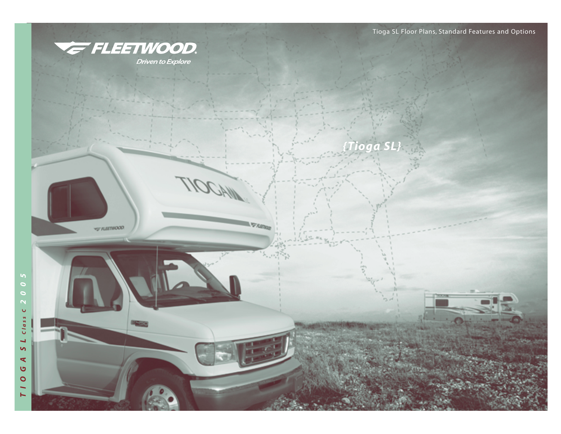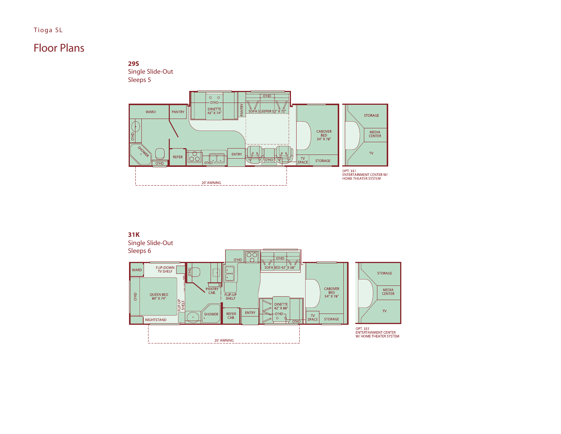## Tioga SL

# Floor Plans



Single Slide-Out Sleeps 5



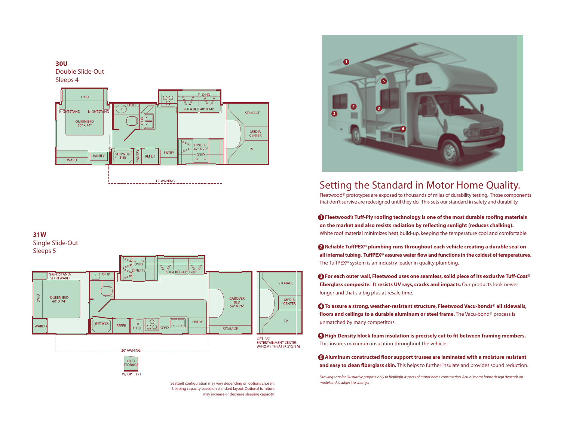

## **31W**

Single Slide-Out Sleeps 5



Seatbelt configuration may vary depending on options chosen. Sleeping capacity based on standard layout. Optional furniture may increase or decrease sleeping capacity.



## Setting the Standard in Motor Home Quality.

Fleetwood® prototypes are exposed to thousands of miles of durability testing. Those components that don't survive are redesigned until they do. This sets our standard in safety and durability.

**<sup>1</sup> Fleetwood's Tuff-Ply roofing technology is one of the most durable roofing materials on the market and also resists radiation by reflecting sunlight (reduces chalking).** White roof material minimizes heat build-up, keeping the temperature cool and comfortable.

**2 Reliable TuffPEX® plumbing runs throughout each vehicle creating a durable seal on all internal tubing. TuffPEX® assures water flow and functions in the coldest of temperatures.** The TuffPEX® system is an industry leader in quality plumbing.

**3 For each outer wall, Fleetwood uses one seamless, solid piece of its exclusive Tuff-Coat® fiberglass composite. It resists UV rays, cracks and impacts.**Our products look newer longer and that's a big plus at resale time.

**4 To assure a strong, weather-resistant structure, Fleetwood Vacu-bonds® all sidewalls, floors and ceilings to a durable aluminum or steel frame.** The Vacu-bond® process is unmatched by many competitors.

**5 High Density block foam insulation is precisely cut to fit between framing members.** This insures maximum insulation throughout the vehicle.

**6 Aluminum constructed floor support trusses are laminated with a moisture resistant and easy to clean fiberglass skin.** This helps to further insulate and provides sound reduction.

*Drawings are for illustrative purpose only to highlight aspects of motor home construction. Actual motor home design depends on model and is subject to change.*

## **30U**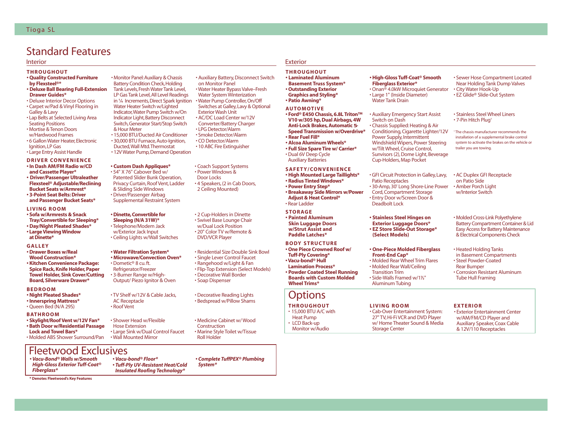# Standard Features

- **THROUGHOUT**
- **Quality Constructed Furniture**
- **by Flexsteel®\* • Deluxe Ball Bearing Full-Extension**
- **Drawer Guides\***
- Deluxe Interior Decor Options • Carpet w/Pad & Vinyl Flooring in
- Galley & Lavy • Lap Belts at Selected Living Area
- Seating Positions
- Mortise & Tenon Doors w/Hardwood Frames
- 6 Gallon Water Heater,Electronic Ignition,LP Gas
- Large Entry Assist Handle
- 
- **DRIVER CONVENIENCE • In Dash AM/FM Radio w/CD**
- **and Cassette Player\* • Driver/Passenger Ultraleather**
- **Flexsteel® Adjustable/Reclining Bucket Seats w/Armrest\***
- **3-Point Seat Belts: Driver and Passenger Bucket Seats\***
- **LIVING ROOM**
- **Sofa w/Armrests & Snack Tray/Convertible for Sleeping\***
- **Day/Night Pleated Shades\* • Large Viewing Window**
- **at Dinette\***

## **GALLEY**

- **Drawer Boxes w/Real Wood Construction\***
- **Kitchen Convenience Package: Spice Rack, Knife Holder, Paper Towel Holder, Sink Cover/Cutting Board, Silverware Drawer\***

## **BEDROOM**

- **Night Pleated Shades\***
- **Innerspring Mattress\*** • Queen Bed (N/A 29S)

### **BATHROOM**

- **Skylight/Roof Vent w/12V Fan\* • Bath Door w/Residential Passage**
- **Lock and Towel Bars\***
- Molded ABS Shower Surround/Pan

## Fleetwood Exclusives

- *Vacu-Bond® Walls w/Smooth High-Gloss Exterior Tuff-Coat® Fiberglass\**
- *Vacu-bond® Floor\* • Tuff-Ply UV-Resistant Heat/Cold Insulated Roofing Technology\**

**\* Denotes Fleetwood's Key Features**

• Monitor Panel:Auxiliary & Chassis **Battery Condition Check, Holding** Tank Levels,Fresh Water Tank Level, LP Gas Tank Level,All Level Readings in **<sup>1</sup> ⁄4** Increments,Direct Spark Ignition • Water Pump Controller,On/Off Water Heater Switch w/Lighted Indicator,Water Pump Switch w/On Indicator Light, Battery Disconnect Switch,Generator Start/Stop Switch & Hour Meter • 15,000 BTU/Ducted Air Conditioner • Smoke Detector/Alarm

• 30,000 BTU Furnace,Auto-Ignition, Ducted,Wall Mtd.Thermostat

• 12V Water Pump, Demand Operation

### **• Custom Dash Appliques\***

• 54" X 76" Cabover Bed w/ Patented Slider Bunk Operation, Privacy Curtain, Roof Vent, Ladder & Sliding Side Windows • Driver/Passenger Airbag Supplemental Restraint System

## **• Dinette,Convertible for**

**Sleeping (N/A 31W)\*** • Telephone/Modem Jack w/Exterior Jack Input • Ceiling Lights w/Wall Switches

### **• Water Filtration System\***

**• Microwave/Convection Oven\***  • Dometic® 8 cu. ft. Refrigerator/Freezer • 3-Burner Range w/High-Output/ Piezo Ignitor & Oven

### • TV Shelf w/12V & Cable Jacks, AC Receptacle • Roof Vent

• Shower Head w/Flexible Hose Extension • Large Sink w/Dual Control Faucet • Wall Mounted Mirror

Interior Exterior

• Auxiliary Battery, Disconnect Switch

• Water Heater Bypass Valve–Fresh Water System Winterization Switches at Galley,Lavy & Optional

on Monitor Panel

Exterior Wash Unit • AC/DC Load Center w/12V Converter/Battery Charger • LPG Detector/Alarm

• CO Detector/Alarm • 10 ABC Fire Extinguisher

• Coach Support Systems • Power Windows & Door Locks

• 4 Speakers, (2 in Cab Doors, 2 Ceiling Mounted)

• 2 Cup-Holders in Dinette • Swivel Base Lounge Chair w/Dual Lock Position • 20" Color TV w/Remote & DVD/VCR Player

*• Complete TuffPEX® Plumbing*

• Medicine Cabinet w/ Wood

• Decorative Wall Border • Soap Dispenser

• Marine Style Toilet w/Tissue

*System\**

Construction

Roll Holder

**THROUGHOUT • Laminated Aluminum Basement Truss System\* • Outstanding Exterior** 

## **Graphics and Styling\* • Patio Awning\***

## **AUTOMOTIVE • Ford® E450 Chassis, 6.8L Triton™**

- **V10 w/305 hp, Dual Airbags, 4W Anti-Lock Brakes, Automatic 5- Speed Transmission w/Overdrive\* • Rear Fuel Fill\* • Alcoa Aluminum Wheels\***
- **Full Size Spare Tire w/ Carrier\*** • Dual 6V Deep Cycle
- Auxiliary Batteries

### **SAFETY/CONVENIENCE**

**• High Mounted Large Taillights\* • Radius Tinted Windows\* • Power Entry Step\* • Breakaway Side Mirrors w/Power Adjust & Heat Control\*** • Rear Ladder

## **STORAGE**

**• Painted Aluminum Skin Luggage Doors w/Strut Assist and Paddle Latches\*** 

## **BODY STRUCTURE**

**• One Piece Crowned Roof w/ Tuff-Ply Covering\* • Vacu-bond® Hull Lamination Process\* • Powder Coated Steel Running Boards with Custom Molded Wheel Trims\*** 

# **Options**

- **THROUGHOUT**  • 15,000 BTU A/C with Heat Pump
- LCD Back-up
- Monitor w/Audio

## **• High-Gloss Tuff-Coat® Smooth Fiberglass Exterior\***

• Onan® 4.0kW Microquiet Generator • Large 1" (Inside Diameter) Water Tank Drain

Switch on Dash • Chassis Supplied: Heating & Air Conditioning, Cigarette Lighter/12V Power Supply, Intermittent Windshield Wipers, Power Steering w/Tilt Wheel, Cruise Control, Sunvisors (2), Dome Light, Beverage Cup-Holders, Map Pocket

## • GFI Circuit Protection in Galley,Lavy,

Patio Receptacles • 30-Amp, 30' Long Shore-Line Power Cord, Compartment Storage • Entry Door w/Screen Door & Deadbolt Lock

### **• Stainless Steel Hinges on Exterior Luggage Doors\***

**• EZ Store Slide-Out Storage\* (Select Models)**

### **• One-Piece Molded Fiberglass Front-End Cap\***

• Molded Rear Wall/Ceiling Transition Trim • Side-Walls Framed w/1**<sup>1</sup> ⁄2**" Aluminum Tubing

## **LIVING ROOM**

• Cab-Over Entertainment System: 27" TV, Hi-Fi VCR and DVD Player w/ Home Theater Sound & Media Storage Center

• Auxiliary Emergency Start Assist

• Molded Rear Wheel Trim Flares

• Exterior Entertainment Center w/AM/FM/CD Player and Auxiliary Speaker, Coax Cable & 12V/110 Receptacles

• Sewer Hose Compartment Located Near Holding Tank Dump Valves • City Water Hook-Up • EZ Glide® Slide-Out System

> • Stainless Steel Wheel Liners • 7-Pin Hitch Plug†

† The chassis manufacturer recommends the installation of a supplemental brake control system to activate the brakes on the vehicle or trailer you are towing.

• AC Duplex GFI Receptacle on Patio Side • Amber Porch Light w/Interior Switch

- Molded Cross-Link Polyethylene Battery Compartment Container & Lid Easy Access for Battery Maintenance & Electrical Components Check
- Heated Holding Tanks in Basement Compartments
- Steel Powder-Coated Rear Bumper
- Corrosion Resistant Aluminum Tube Hull Framing
- 
- 

**EXTERIOR**

- 
- Residential Size Double Sink Bowl • Single Lever Control Faucet • Rangehood w/Light & Fan • Flip-Top Extension (Select Models)
	-

## • Decorative Reading Lights • Bedspread w/Pillow Shams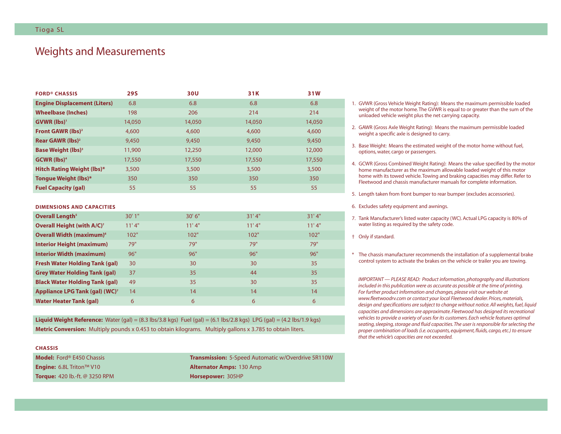# Weights and Measurements

| <b>FORD® CHASSIS</b>                 | <b>29S</b> | 30U    | 31K    | 31W    |
|--------------------------------------|------------|--------|--------|--------|
| <b>Engine Displacement (Liters)</b>  | 6.8        | 6.8    | 6.8    | 6.8    |
| <b>Wheelbase (Inches)</b>            | 198        | 206    | 214    | 214    |
| <b>GVWR</b> (lbs) <sup>1</sup>       | 14,050     | 14,050 | 14,050 | 14,050 |
| <b>Front GAWR (lbs)<sup>2</sup></b>  | 4,600      | 4,600  | 4,600  | 4,600  |
| Rear GAWR (lbs) <sup>2</sup>         | 9,450      | 9,450  | 9,450  | 9,450  |
| <b>Base Weight (lbs)<sup>3</sup></b> | 11,900     | 12,250 | 12,000 | 12,000 |
| $GCWR$ (lbs) <sup>4</sup>            | 17,550     | 17,550 | 17,550 | 17,550 |
| <b>Hitch Rating Weight (lbs)*</b>    | 3,500      | 3,500  | 3,500  | 3,500  |
| <b>Tongue Weight (lbs)*</b>          | 350        | 350    | 350    | 350    |
| <b>Fuel Capacity (gal)</b>           | 55         | 55     | 55     | 55     |

### **DIMENSIONS AND CAPACITIES**

| Overall Length <sup>5</sup>                  | 30'1" | 30'6'' | 31'4" | 31'4" |
|----------------------------------------------|-------|--------|-------|-------|
| <b>Overall Height (with A/C)<sup>+</sup></b> | 11'4" | 11'4"  | 11'4" | 11'4" |
| <b>Overall Width (maximum)<sup>6</sup></b>   | 102"  | 102"   | 102"  | 102"  |
| <b>Interior Height (maximum)</b>             | 79"   | 79"    | 79"   | 79"   |
| <b>Interior Width (maximum)</b>              | 96"   | 96"    | 96"   | 96"   |
| <b>Fresh Water Holding Tank (gal)</b>        | 30    | 30     | 30    | 35    |
| <b>Grey Water Holding Tank (gal)</b>         | 37    | 35     | 44    | 35    |
| <b>Black Water Holding Tank (gal)</b>        | 49    | 35     | 30    | 35    |
| Appliance LPG Tank (gal) (WC) <sup>7</sup>   | 14    | 14     | 14    | 14    |
| <b>Water Heater Tank (gal)</b>               | 6     | 6      | 6     | 6     |

**Liquid Weight Reference:** Water (gal) = (8.3 lbs/3.8 kgs) Fuel (gal) = (6.1 lbs/2.8 kgs) LPG (gal) = (4.2 lbs/1.9 kgs) **Metric Conversion:** Multiply pounds x 0.453 to obtain kilograms. Multiply gallons x 3.785 to obtain liters.

## **CHASSIS**

**Engine:** 6.8L Triton™ V10 **Alternator Amps:** 130 Amp **Torque:** 420 lb.-ft. @ 3250 RPM **Horsepower:** 305HP

**Model:** Ford® E450 Chassis **Transmission:** 5-Speed Automatic w/Overdrive 5R110W

- 1. GVWR (Gross Vehicle Weight Rating): Means the maximum permissible loaded weight of the motor home.The GVWR is equal to or greater than the sum of the unloaded vehicle weight plus the net carrying capacity.
- 2. GAWR (Gross Axle Weight Rating): Means the maximum permissible loaded weight a specific axle is designed to carry.
- 3. Base Weight: Means the estimated weight of the motor home without fuel, options, water, cargo or passengers.
- 4. GCWR (Gross Combined Weight Rating): Means the value specified by the motor home manufacturer as the maximum allowable loaded weight of this motor home with its towed vehicle.Towing and braking capacities may differ. Refer to Fleetwood and chassis manufacturer manuals for complete information.
- 5. Length taken from front bumper to rear bumper (excludes accessories).
- 6. Excludes safety equipment and awnings.
- 7. Tank Manufacturer's listed water capacity (WC). Actual LPG capacity is 80% of water listing as required by the safety code.
- † Only if standard.
- \* The chassis manufacturer recommends the installation of a supplemental brake control system to activate the brakes on the vehicle or trailer you are towing.

*IMPORTANT — PLEASE READ: Product information, photography and illustrations included in this publication were as accurate as possible at the time of printing. For further product information and changes, please visit our website at www.fleetwoodrv.com or contact your local Fleetwood dealer. Prices, materials, design and specifications are subject to change without notice. All weights, fuel, liquid capacities and dimensions are approximate. Fleetwood has designed its recreational vehicles to provide a variety of uses for its customers. Each vehicle features optimal seating, sleeping, storage and fluid capacities.The user is responsible for selecting the proper combination of loads (i.e. occupants, equipment, fluids, cargo, etc.) to ensure that the vehicle's capacities are not exceeded.*